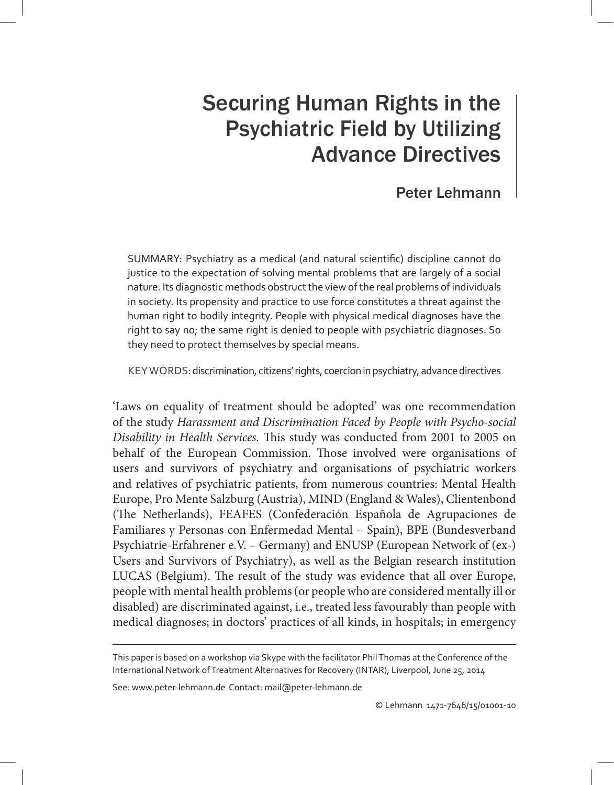# Securing Human Rights in the Psychiatric Field by Utilizing Advance Directives

# Peter Lehmann

SUMMARY: Psychiatry as a medical (and natural scientific) discipline cannot do justice to the expectation of solving mental problems that are largely of a social nature. Its diagnostic methods obstruct the view of the real problems of individuals in society. Its propensity and practice to use force constitutes a threat against the human right to bodily integrity. People with physical medical diagnoses have the right to say no; the same right is denied to people with psychiatric diagnoses. So they need to protect themselves by special means.

KEY WORDS: discrimination, citizens' rights, coercion in psychiatry, advance directives

'Laws on equality of treatment should be adopted' was one recommendation of the study *Harassment and Discrimination Faced by People with Psycho-social Disability in Health Services.* This study was conducted from 2001 to 2005 on behalf of the European Commission. Those involved were organisations of users and survivors of psychiatry and organisations of psychiatric workers and relatives of psychiatric patients, from numerous countries: Mental Health Europe, Pro Mente Salzburg (Austria), MIND (England & Wales), Clientenbond (The Netherlands), FEAFES (Confederación Española de Agrupaciones de Familiares y Personas con Enfermedad Mental – Spain), BPE (Bundesverband Psychiatrie-Erfahrener e.V. – Germany) and ENUSP (European Network of (ex-) Users and Survivors of Psychiatry), as well as the Belgian research institution LUCAS (Belgium). The result of the study was evidence that all over Europe, people with mental health problems (or people who are considered mentally ill or disabled) are discriminated against, i.e., treated less favourably than people with medical diagnoses; in doctors' practices of all kinds, in hospitals; in emergency

See: www.peter-lehmann.de Contact: mail@peter-lehmann.de

This paper is based on a workshop via Skype with the facilitator Phil Thomas at the Conference of the International Network of Treatment Alternatives for Recovery (INTAR), Liverpool, June 25, 2014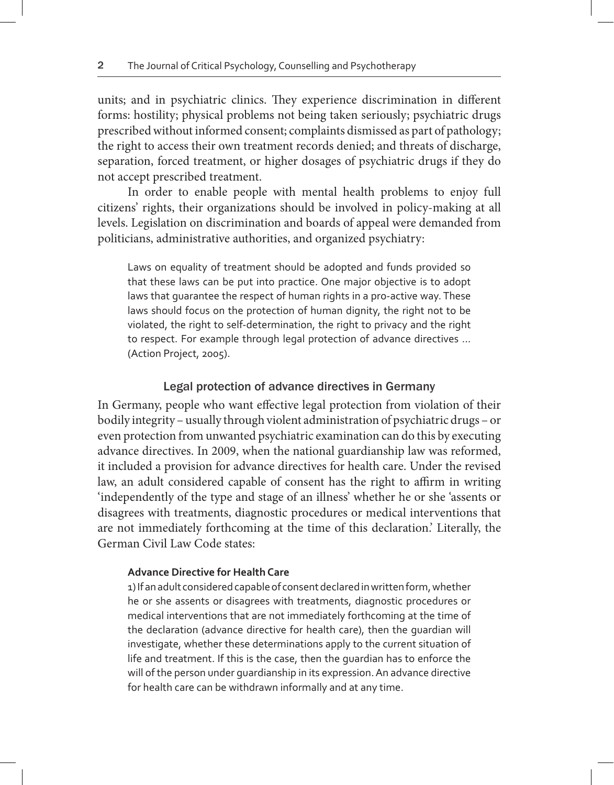units; and in psychiatric clinics. They experience discrimination in different forms: hostility; physical problems not being taken seriously; psychiatric drugs prescribed without informed consent; complaints dismissed as part of pathology; the right to access their own treatment records denied; and threats of discharge, separation, forced treatment, or higher dosages of psychiatric drugs if they do not accept prescribed treatment.

In order to enable people with mental health problems to enjoy full citizens' rights, their organizations should be involved in policy-making at all levels. Legislation on discrimination and boards of appeal were demanded from politicians, administrative authorities, and organized psychiatry:

Laws on equality of treatment should be adopted and funds provided so that these laws can be put into practice. One major objective is to adopt laws that guarantee the respect of human rights in a pro-active way. These laws should focus on the protection of human dignity, the right not to be violated, the right to self-determination, the right to privacy and the right to respect. For example through legal protection of advance directives … (Action Project, 2005).

## Legal protection of advance directives in Germany

In Germany, people who want effective legal protection from violation of their bodily integrity – usually through violent administration of psychiatric drugs – or even protection from unwanted psychiatric examination can do this by executing advance directives. In 2009, when the national guardianship law was reformed, it included a provision for advance directives for health care. Under the revised law, an adult considered capable of consent has the right to affirm in writing 'independently of the type and stage of an illness' whether he or she 'assents or disagrees with treatments, diagnostic procedures or medical interventions that are not immediately forthcoming at the time of this declaration.' Literally, the German Civil Law Code states:

#### **Advance Directive for Health Care**

1) If an adult considered capable of consent declared in written form, whether he or she assents or disagrees with treatments, diagnostic procedures or medical interventions that are not immediately forthcoming at the time of the declaration (advance directive for health care), then the guardian will investigate, whether these determinations apply to the current situation of life and treatment. If this is the case, then the guardian has to enforce the will of the person under guardianship in its expression. An advance directive for health care can be withdrawn informally and at any time.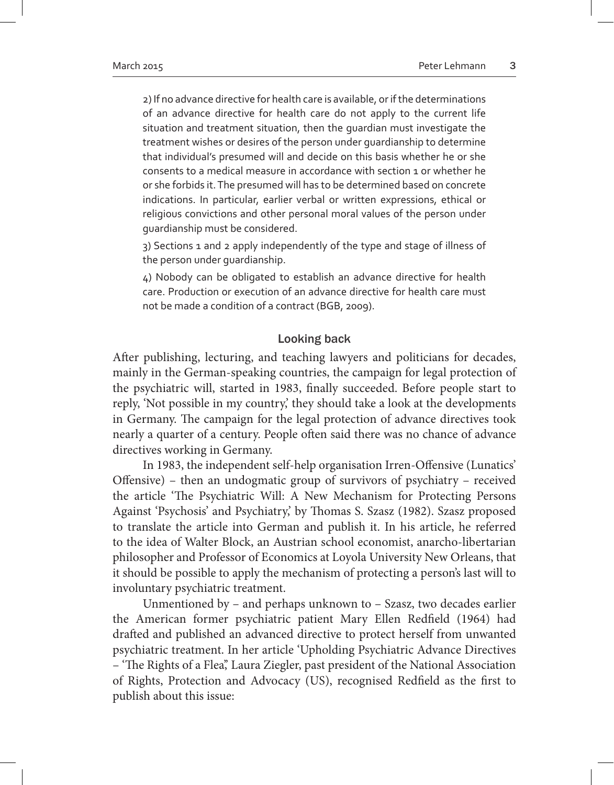2) If no advance directive for health care is available, or if the determinations of an advance directive for health care do not apply to the current life situation and treatment situation, then the guardian must investigate the treatment wishes or desires of the person under guardianship to determine that individual's presumed will and decide on this basis whether he or she consents to a medical measure in accordance with section 1 or whether he or she forbids it. The presumed will has to be determined based on concrete indications. In particular, earlier verbal or written expressions, ethical or religious convictions and other personal moral values of the person under guardianship must be considered.

3) Sections 1 and 2 apply independently of the type and stage of illness of the person under guardianship.

4) Nobody can be obligated to establish an advance directive for health care. Production or execution of an advance directive for health care must not be made a condition of a contract (BGB, 2009).

# Looking back

After publishing, lecturing, and teaching lawyers and politicians for decades, mainly in the German-speaking countries, the campaign for legal protection of the psychiatric will, started in 1983, finally succeeded. Before people start to reply, 'Not possible in my country,' they should take a look at the developments in Germany. The campaign for the legal protection of advance directives took nearly a quarter of a century. People often said there was no chance of advance directives working in Germany.

In 1983, the independent self-help organisation Irren-Offensive (Lunatics' Offensive) – then an undogmatic group of survivors of psychiatry – received the article 'The Psychiatric Will: A New Mechanism for Protecting Persons Against 'Psychosis' and Psychiatry,' by Thomas S. Szasz (1982). Szasz proposed to translate the article into German and publish it. In his article, he referred to the idea of Walter Block, an Austrian school economist, anarcho-libertarian philosopher and Professor of Economics at Loyola University New Orleans, that it should be possible to apply the mechanism of protecting a person's last will to involuntary psychiatric treatment.

Unmentioned by – and perhaps unknown to – Szasz, two decades earlier the American former psychiatric patient Mary Ellen Redfield (1964) had drafted and published an advanced directive to protect herself from unwanted psychiatric treatment. In her article 'Upholding Psychiatric Advance Directives – 'The Rights of a Flea',' Laura Ziegler, past president of the National Association of Rights, Protection and Advocacy (US), recognised Redfield as the first to publish about this issue: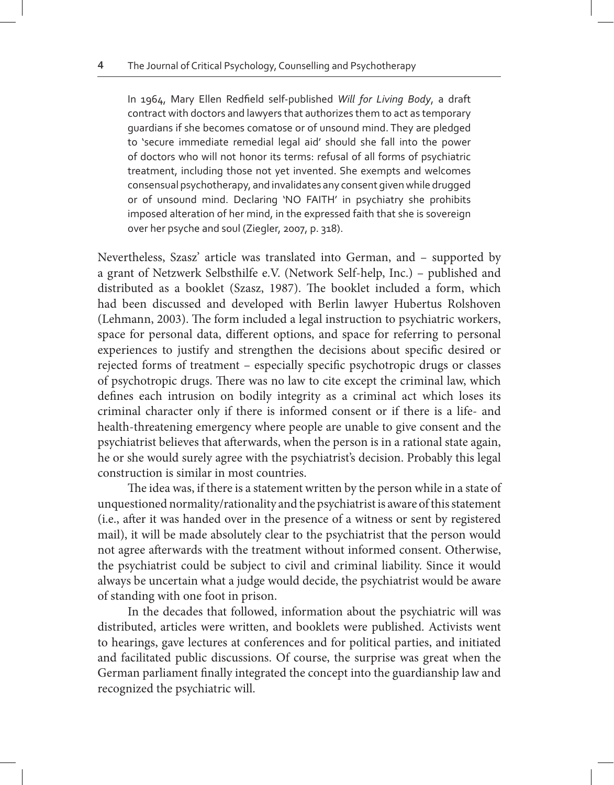In 1964, Mary Ellen Redfield self-published *Will for Living Body*, a draft contract with doctors and lawyers that authorizes them to act as temporary guardians if she becomes comatose or of unsound mind. They are pledged to 'secure immediate remedial legal aid' should she fall into the power of doctors who will not honor its terms: refusal of all forms of psychiatric treatment, including those not yet invented. She exempts and welcomes consensual psychotherapy, and invalidates any consent given while drugged or of unsound mind. Declaring 'NO FAITH' in psychiatry she prohibits imposed alteration of her mind, in the expressed faith that she is sovereign over her psyche and soul (Ziegler, 2007, p. 318).

Nevertheless, Szasz' article was translated into German, and – supported by a grant of Netzwerk Selbsthilfe e.V. (Network Self-help, Inc.) – published and distributed as a booklet (Szasz, 1987). The booklet included a form, which had been discussed and developed with Berlin lawyer Hubertus Rolshoven (Lehmann, 2003). The form included a legal instruction to psychiatric workers, space for personal data, different options, and space for referring to personal experiences to justify and strengthen the decisions about specific desired or rejected forms of treatment – especially specific psychotropic drugs or classes of psychotropic drugs. There was no law to cite except the criminal law, which defines each intrusion on bodily integrity as a criminal act which loses its criminal character only if there is informed consent or if there is a life- and health-threatening emergency where people are unable to give consent and the psychiatrist believes that afterwards, when the person is in a rational state again, he or she would surely agree with the psychiatrist's decision. Probably this legal construction is similar in most countries.

The idea was, if there is a statement written by the person while in a state of unquestioned normality/rationality and the psychiatrist is aware of this statement (i.e., after it was handed over in the presence of a witness or sent by registered mail), it will be made absolutely clear to the psychiatrist that the person would not agree afterwards with the treatment without informed consent. Otherwise, the psychiatrist could be subject to civil and criminal liability. Since it would always be uncertain what a judge would decide, the psychiatrist would be aware of standing with one foot in prison.

In the decades that followed, information about the psychiatric will was distributed, articles were written, and booklets were published. Activists went to hearings, gave lectures at conferences and for political parties, and initiated and facilitated public discussions. Of course, the surprise was great when the German parliament finally integrated the concept into the guardianship law and recognized the psychiatric will.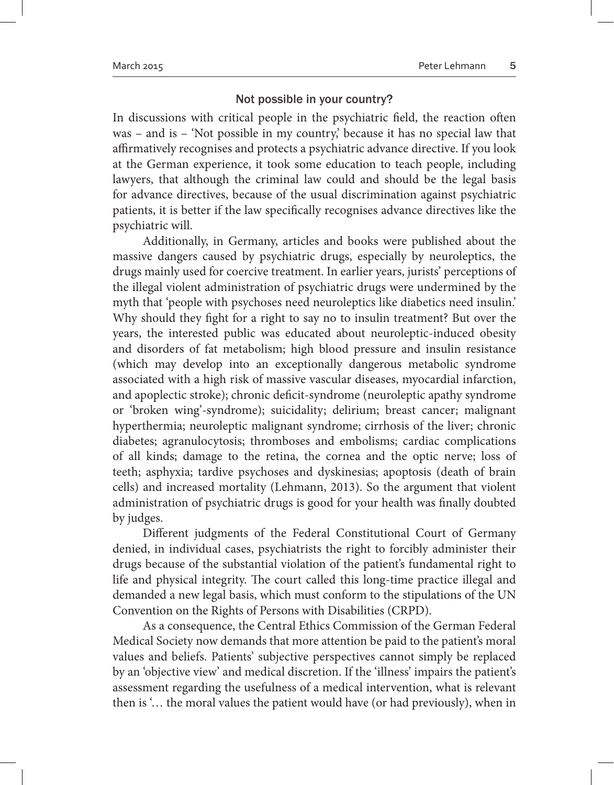### Not possible in your country?

In discussions with critical people in the psychiatric field, the reaction often was – and is – 'Not possible in my country' because it has no special law that affirmatively recognises and protects a psychiatric advance directive. If you look at the German experience, it took some education to teach people, including lawyers, that although the criminal law could and should be the legal basis for advance directives, because of the usual discrimination against psychiatric patients, it is better if the law specifically recognises advance directives like the psychiatric will.

Additionally, in Germany, articles and books were published about the massive dangers caused by psychiatric drugs, especially by neuroleptics, the drugs mainly used for coercive treatment. In earlier years, jurists' perceptions of the illegal violent administration of psychiatric drugs were undermined by the myth that 'people with psychoses need neuroleptics like diabetics need insulin.' Why should they fight for a right to say no to insulin treatment? But over the years, the interested public was educated about neuroleptic-induced obesity and disorders of fat metabolism; high blood pressure and insulin resistance (which may develop into an exceptionally dangerous metabolic syndrome associated with a high risk of massive vascular diseases, myocardial infarction, and apoplectic stroke); chronic deficit-syndrome (neuroleptic apathy syndrome or 'broken wing'-syndrome); suicidality; delirium; breast cancer; malignant hyperthermia; neuroleptic malignant syndrome; cirrhosis of the liver; chronic diabetes; agranulocytosis; thromboses and embolisms; cardiac complications of all kinds; damage to the retina, the cornea and the optic nerve; loss of teeth; asphyxia; tardive psychoses and dyskinesias; apoptosis (death of brain cells) and increased mortality (Lehmann, 2013). So the argument that violent administration of psychiatric drugs is good for your health was finally doubted by judges.

Different judgments of the Federal Constitutional Court of Germany denied, in individual cases, psychiatrists the right to forcibly administer their drugs because of the substantial violation of the patient's fundamental right to life and physical integrity. The court called this long-time practice illegal and demanded a new legal basis, which must conform to the stipulations of the UN Convention on the Rights of Persons with Disabilities (CRPD).

As a consequence, the Central Ethics Commission of the German Federal Medical Society now demands that more attention be paid to the patient's moral values and beliefs. Patients' subjective perspectives cannot simply be replaced by an 'objective view' and medical discretion. If the 'illness' impairs the patient's assessment regarding the usefulness of a medical intervention, what is relevant then is '… the moral values the patient would have (or had previously), when in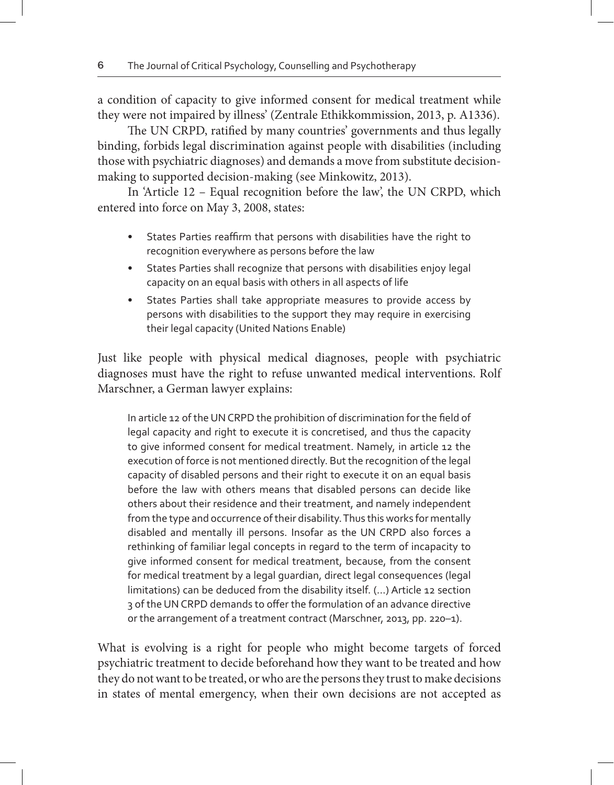a condition of capacity to give informed consent for medical treatment while they were not impaired by illness' (Zentrale Ethikkommission, 2013, p. A1336).

The UN CRPD, ratified by many countries' governments and thus legally binding, forbids legal discrimination against people with disabilities (including those with psychiatric diagnoses) and demands a move from substitute decisionmaking to supported decision-making (see Minkowitz, 2013).

In 'Article 12 – Equal recognition before the law', the UN CRPD, which entered into force on May 3, 2008, states:

- States Parties reaffirm that persons with disabilities have the right to recognition everywhere as persons before the law
- States Parties shall recognize that persons with disabilities enjoy legal capacity on an equal basis with others in all aspects of life
- States Parties shall take appropriate measures to provide access by persons with disabilities to the support they may require in exercising their legal capacity (United Nations Enable)

Just like people with physical medical diagnoses, people with psychiatric diagnoses must have the right to refuse unwanted medical interventions. Rolf Marschner, a German lawyer explains:

In article 12 of the UN CRPD the prohibition of discrimination for the field of legal capacity and right to execute it is concretised, and thus the capacity to give informed consent for medical treatment. Namely, in article 12 the execution of force is not mentioned directly. But the recognition of the legal capacity of disabled persons and their right to execute it on an equal basis before the law with others means that disabled persons can decide like others about their residence and their treatment, and namely independent from the type and occurrence of their disability. Thus this works for mentally disabled and mentally ill persons. Insofar as the UN CRPD also forces a rethinking of familiar legal concepts in regard to the term of incapacity to give informed consent for medical treatment, because, from the consent for medical treatment by a legal guardian, direct legal consequences (legal limitations) can be deduced from the disability itself. (...) Article 12 section 3 of the UN CRPD demands to offer the formulation of an advance directive or the arrangement of a treatment contract (Marschner, 2013, pp. 220–1).

What is evolving is a right for people who might become targets of forced psychiatric treatment to decide beforehand how they want to be treated and how they do not want to be treated, or who are the persons they trust to make decisions in states of mental emergency, when their own decisions are not accepted as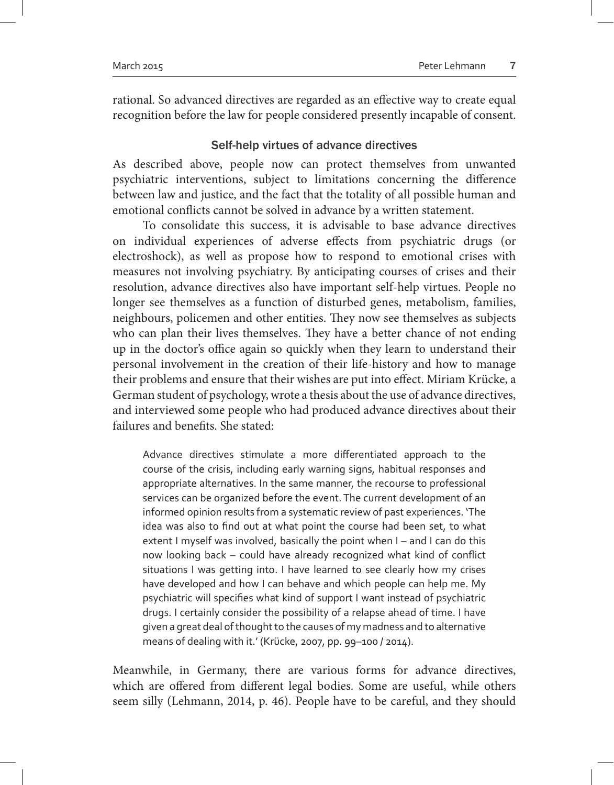rational. So advanced directives are regarded as an effective way to create equal recognition before the law for people considered presently incapable of consent.

# Self-help virtues of advance directives

As described above, people now can protect themselves from unwanted psychiatric interventions, subject to limitations concerning the difference between law and justice, and the fact that the totality of all possible human and emotional conflicts cannot be solved in advance by a written statement.

To consolidate this success, it is advisable to base advance directives on individual experiences of adverse effects from psychiatric drugs (or electroshock), as well as propose how to respond to emotional crises with measures not involving psychiatry. By anticipating courses of crises and their resolution, advance directives also have important self-help virtues. People no longer see themselves as a function of disturbed genes, metabolism, families, neighbours, policemen and other entities. They now see themselves as subjects who can plan their lives themselves. They have a better chance of not ending up in the doctor's office again so quickly when they learn to understand their personal involvement in the creation of their life-history and how to manage their problems and ensure that their wishes are put into effect. Miriam Krücke, a German student of psychology, wrote a thesis about the use of advance directives, and interviewed some people who had produced advance directives about their failures and benefits. She stated:

Advance directives stimulate a more differentiated approach to the course of the crisis, including early warning signs, habitual responses and appropriate alternatives. In the same manner, the recourse to professional services can be organized before the event. The current development of an informed opinion results from a systematic review of past experiences. 'The idea was also to find out at what point the course had been set, to what extent I myself was involved, basically the point when I - and I can do this now looking back – could have already recognized what kind of conflict situations I was getting into. I have learned to see clearly how my crises have developed and how I can behave and which people can help me. My psychiatric will specifies what kind of support I want instead of psychiatric drugs. I certainly consider the possibility of a relapse ahead of time. I have given a great deal of thought to the causes of my madness and to alternative means of dealing with it.' (Krücke, 2007, pp. 99–100 / 2014).

Meanwhile, in Germany, there are various forms for advance directives, which are offered from different legal bodies. Some are useful, while others seem silly (Lehmann, 2014, p. 46). People have to be careful, and they should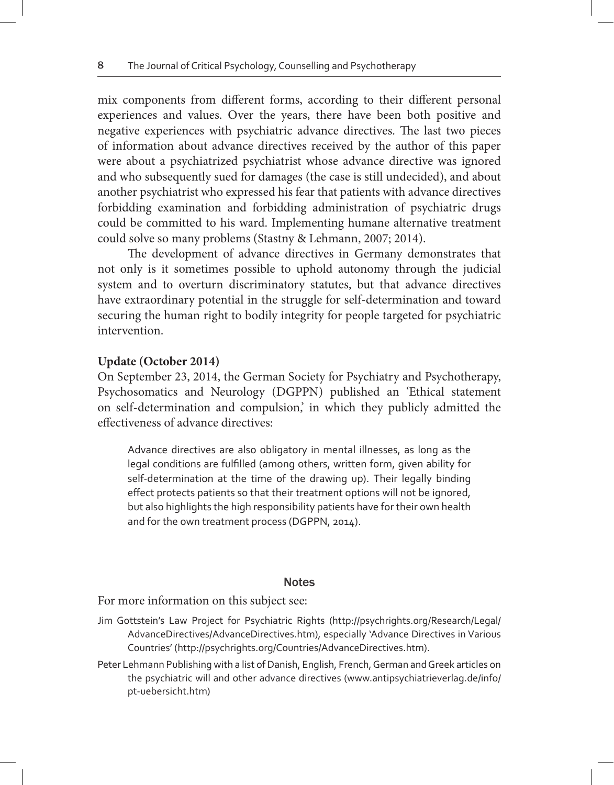mix components from different forms, according to their different personal experiences and values. Over the years, there have been both positive and negative experiences with psychiatric advance directives. The last two pieces of information about advance directives received by the author of this paper were about a psychiatrized psychiatrist whose advance directive was ignored and who subsequently sued for damages (the case is still undecided), and about another psychiatrist who expressed his fear that patients with advance directives forbidding examination and forbidding administration of psychiatric drugs could be committed to his ward. Implementing humane alternative treatment could solve so many problems (Stastny & Lehmann, 2007; 2014).

The development of advance directives in Germany demonstrates that not only is it sometimes possible to uphold autonomy through the judicial system and to overturn discriminatory statutes, but that advance directives have extraordinary potential in the struggle for self-determination and toward securing the human right to bodily integrity for people targeted for psychiatric intervention.

### **Update (October 2014)**

On September 23, 2014, the German Society for Psychiatry and Psychotherapy, Psychosomatics and Neurology (DGPPN) published an 'Ethical statement on self-determination and compulsion,' in which they publicly admitted the effectiveness of advance directives:

Advance directives are also obligatory in mental illnesses, as long as the legal conditions are fulfilled (among others, written form, given ability for self-determination at the time of the drawing up). Their legally binding effect protects patients so that their treatment options will not be ignored, but also highlights the high responsibility patients have for their own health and for the own treatment process (DGPPN, 2014).

#### **Notes**

For more information on this subject see:

- Jim Gottstein's Law Project for Psychiatric Rights (http://psychrights.org/Research/Legal/ AdvanceDirectives/AdvanceDirectives.htm), especially 'Advance Directives in Various Countries' (http://psychrights.org/Countries/AdvanceDirectives.htm).
- Peter Lehmann Publishing with a list of Danish, English, French, German and Greek articles on the psychiatric will and other advance directives (www.antipsychiatrieverlag.de/info/ pt-uebersicht.htm)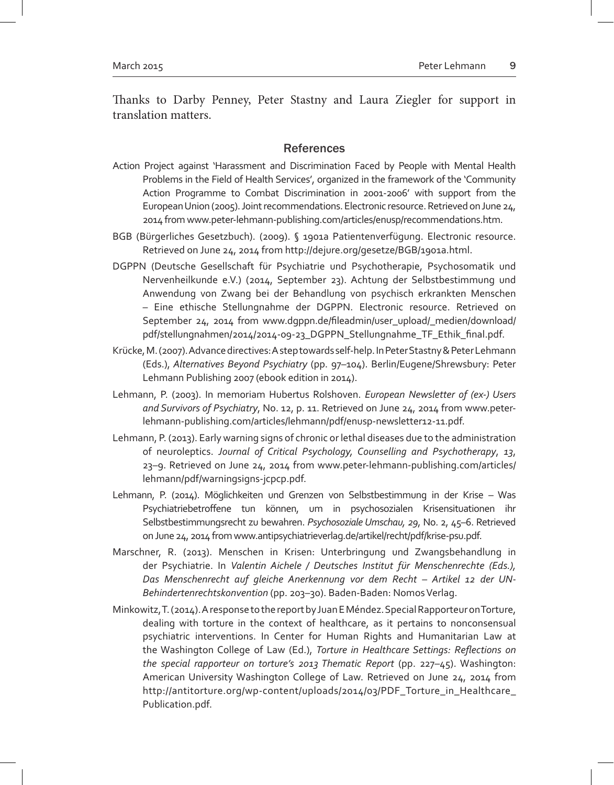Thanks to Darby Penney, Peter Stastny and Laura Ziegler for support in translation matters.

#### **References**

- Action Project against 'Harassment and Discrimination Faced by People with Mental Health Problems in the Field of Health Services', organized in the framework of the 'Community Action Programme to Combat Discrimination in 2001-2006' with support from the European Union (2005). Joint recommendations. Electronic resource. Retrieved on June 24, 2014 from www.peter-lehmann-publishing.com/articles/enusp/recommendations.htm.
- BGB (Bürgerliches Gesetzbuch). (2009). § 1901a Patientenverfügung. Electronic resource. Retrieved on June 24, 2014 from http://dejure.org/gesetze/BGB/1901a.html.
- DGPPN (Deutsche Gesellschaft für Psychiatrie und Psychotherapie, Psychosomatik und Nervenheilkunde e.V.) (2014, September 23). Achtung der Selbstbestimmung und Anwendung von Zwang bei der Behandlung von psychisch erkrankten Menschen – Eine ethische Stellungnahme der DGPPN. Electronic resource. Retrieved on September 24, 2014 from www.dgppn.de/fileadmin/user\_upload/\_medien/download/ pdf/stellungnahmen/2014/2014-09-23\_DGPPN\_Stellungnahme\_TF\_Ethik\_final.pdf.
- Krücke, M. (2007). Advance directives: A step towards self-help. In Peter Stastny & Peter Lehmann (Eds.), *Alternatives Beyond Psychiatry* (pp. 97–104). Berlin/Eugene/Shrewsbury: Peter Lehmann Publishing 2007 (ebook edition in 2014).
- Lehmann, P. (2003). In memoriam Hubertus Rolshoven. *European Newsletter of (ex-) Users and Survivors of Psychiatry*, No. 12, p. 11. Retrieved on June 24, 2014 from www.peterlehmann-publishing.com/articles/lehmann/pdf/enusp-newsletter12-11.pdf.
- Lehmann, P. (2013). Early warning signs of chronic or lethal diseases due to the administration of neuroleptics. *Journal of Critical Psychology, Counselling and Psychotherapy*, *13*, 23–9. Retrieved on June 24, 2014 from www.peter-lehmann-publishing.com/articles/ lehmann/pdf/warningsigns-jcpcp.pdf.
- Lehmann, P. (2014). Möglichkeiten und Grenzen von Selbstbestimmung in der Krise Was Psychiatriebetroffene tun können, um in psychosozialen Krisensituationen ihr Selbstbestimmungsrecht zu bewahren. *Psychosoziale Umschau, 29*, No. 2, 45–6. Retrieved on June 24, 2014 from www.antipsychiatrieverlag.de/artikel/recht/pdf/krise-psu.pdf.
- Marschner, R. (2013). Menschen in Krisen: Unterbringung und Zwangsbehandlung in der Psychiatrie. In *Valentin Aichele / Deutsches Institut für Menschenrechte (Eds.), Das Menschenrecht auf gleiche Anerkennung vor dem Recht – Artikel 12 der UN-Behindertenrechtskonvention* (pp. 203–30). Baden-Baden: Nomos Verlag.
- Minkowitz, T. (2014). A response to the report by Juan E Méndez. Special Rapporteur on Torture, dealing with torture in the context of healthcare, as it pertains to nonconsensual psychiatric interventions. In Center for Human Rights and Humanitarian Law at the Washington College of Law (Ed.), *Torture in Healthcare Settings: Reflections on the special rapporteur on torture's 2013 Thematic Report* (pp. 227–45). Washington: American University Washington College of Law. Retrieved on June 24, 2014 from http://antitorture.org/wp-content/uploads/2014/03/PDF\_Torture\_in\_Healthcare\_ Publication.pdf.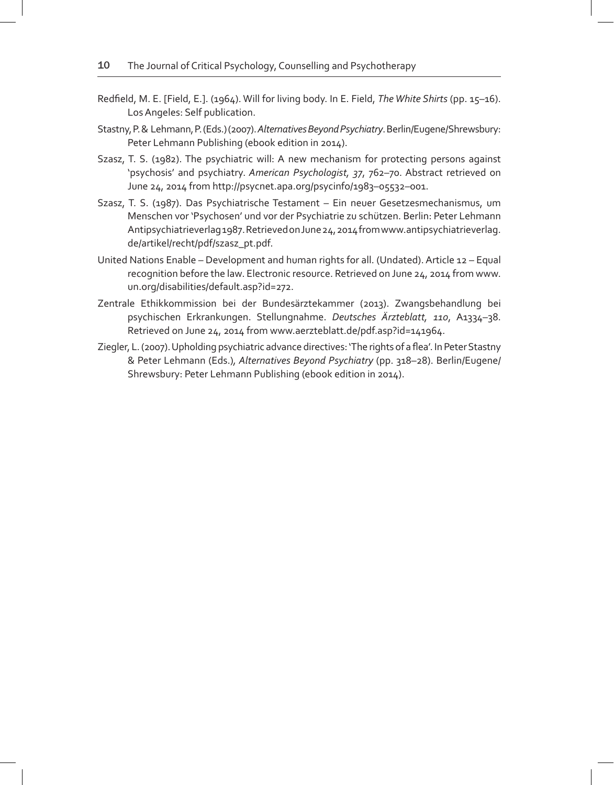- Redfield, M. E. [Field, E.]. (1964). Will for living body. In E. Field, *The White Shirts* (pp. 15–16). Los Angeles: Self publication.
- Stastny, P. & Lehmann, P. (Eds.) (2007). *Alternatives Beyond Psychiatry*. Berlin/Eugene/Shrewsbury: Peter Lehmann Publishing (ebook edition in 2014).
- Szasz, T. S. (1982). The psychiatric will: A new mechanism for protecting persons against 'psychosis' and psychiatry. *American Psychologist, 37*, 762–70. Abstract retrieved on June 24, 2014 from http://psycnet.apa.org/psycinfo/1983–05532–001.
- Szasz, T. S. (1987). Das Psychiatrische Testament Ein neuer Gesetzesmechanismus, um Menschen vor 'Psychosen' und vor der Psychiatrie zu schützen. Berlin: Peter Lehmann Antipsychiatrieverlag 1987. Retrieved on June 24, 2014 from www.antipsychiatrieverlag. de/artikel/recht/pdf/szasz\_pt.pdf.
- United Nations Enable Development and human rights for all. (Undated). Article 12 Equal recognition before the law. Electronic resource. Retrieved on June 24, 2014 from www. un.org/disabilities/default.asp?id=272.
- Zentrale Ethikkommission bei der Bundesärztekammer (2013). Zwangsbehandlung bei psychischen Erkrankungen. Stellungnahme. *Deutsches Ärzteblatt, 110*, A1334–38. Retrieved on June 24, 2014 from www.aerzteblatt.de/pdf.asp?id=141964.
- Ziegler, L. (2007). Upholding psychiatric advance directives: 'The rights of a flea'. In Peter Stastny & Peter Lehmann (Eds.)*, Alternatives Beyond Psychiatry* (pp. 318–28). Berlin/Eugene/ Shrewsbury: Peter Lehmann Publishing (ebook edition in 2014).